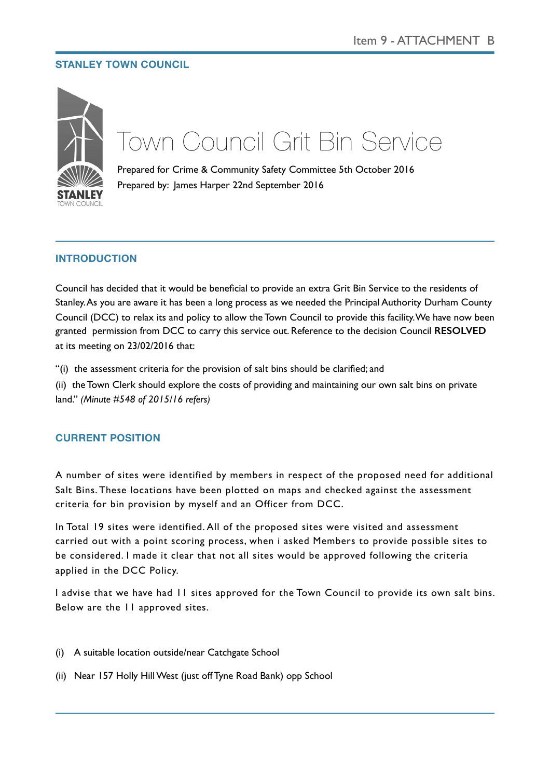## **STANLEY TOWN COUNCIL**



# Town Council Grit Bin Service

Prepared for Crime & Community Safety Committee 5th October 2016 Prepared by: James Harper 22nd September 2016

# **INTRODUCTION**

Council has decided that it would be beneficial to provide an extra Grit Bin Service to the residents of Stanley. As you are aware it has been a long process as we needed the Principal Authority Durham County Council (DCC) to relax its and policy to allow the Town Council to provide this facility. We have now been granted permission from DCC to carry this service out. Reference to the decision Council **RESOLVED** at its meeting on 23/02/2016 that:

"(i) the assessment criteria for the provision of salt bins should be clarified; and

(ii) the Town Clerk should explore the costs of providing and maintaining our own salt bins on private land." *(Minute #548 of 2015/16 refers)*

## **CURRENT POSITION**

A number of sites were identified by members in respect of the proposed need for additional Salt Bins. These locations have been plotted on maps and checked against the assessment criteria for bin provision by myself and an Officer from DCC.

In Total 19 sites were identified. All of the proposed sites were visited and assessment carried out with a point scoring process, when i asked Members to provide possible sites to be considered. I made it clear that not all sites would be approved following the criteria applied in the DCC Policy.

I advise that we have had 11 sites approved for the Town Council to provide its own salt bins. Below are the 11 approved sites.

- (i) A suitable location outside/near Catchgate School
- (ii) Near 157 Holly Hill West (just off Tyne Road Bank) opp School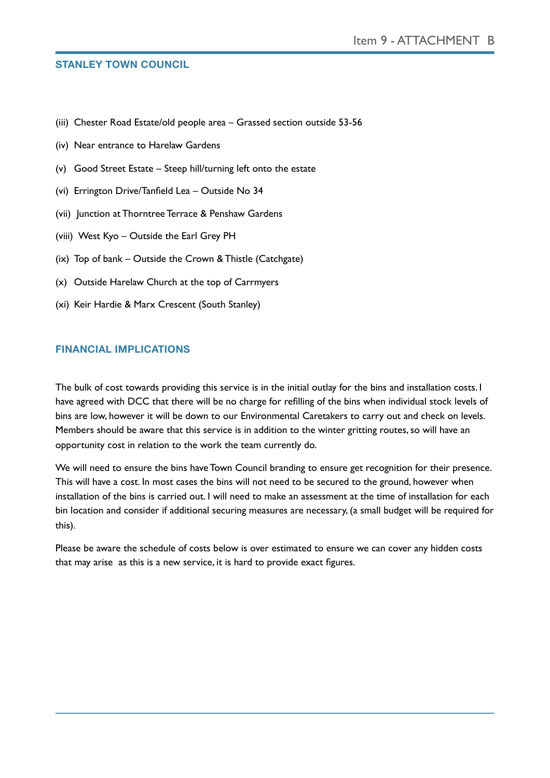#### **STANLEY TOWN COUNCIL**

- (iii) Chester Road Estate/old people area Grassed section outside 53-56
- (iv) Near entrance to Harelaw Gardens
- (v) Good Street Estate Steep hill/turning left onto the estate
- (vi) Errington Drive/Tanfield Lea Outside No 34
- (vii) Junction at Thorntree Terrace & Penshaw Gardens
- (viii) West Kyo Outside the Earl Grey PH
- (ix) Top of bank Outside the Crown & Thistle (Catchgate)
- (x) Outside Harelaw Church at the top of Carrmyers
- (xi) Keir Hardie & Marx Crescent (South Stanley)

## **FINANCIAL IMPLICATIONS**

The bulk of cost towards providing this service is in the initial outlay for the bins and installation costs. I have agreed with DCC that there will be no charge for refilling of the bins when individual stock levels of bins are low, however it will be down to our Environmental Caretakers to carry out and check on levels. Members should be aware that this service is in addition to the winter gritting routes, so will have an opportunity cost in relation to the work the team currently do.

We will need to ensure the bins have Town Council branding to ensure get recognition for their presence. This will have a cost. In most cases the bins will not need to be secured to the ground, however when installation of the bins is carried out. I will need to make an assessment at the time of installation for each bin location and consider if additional securing measures are necessary, (a small budget will be required for this).

Please be aware the schedule of costs below is over estimated to ensure we can cover any hidden costs that may arise as this is a new service, it is hard to provide exact figures.